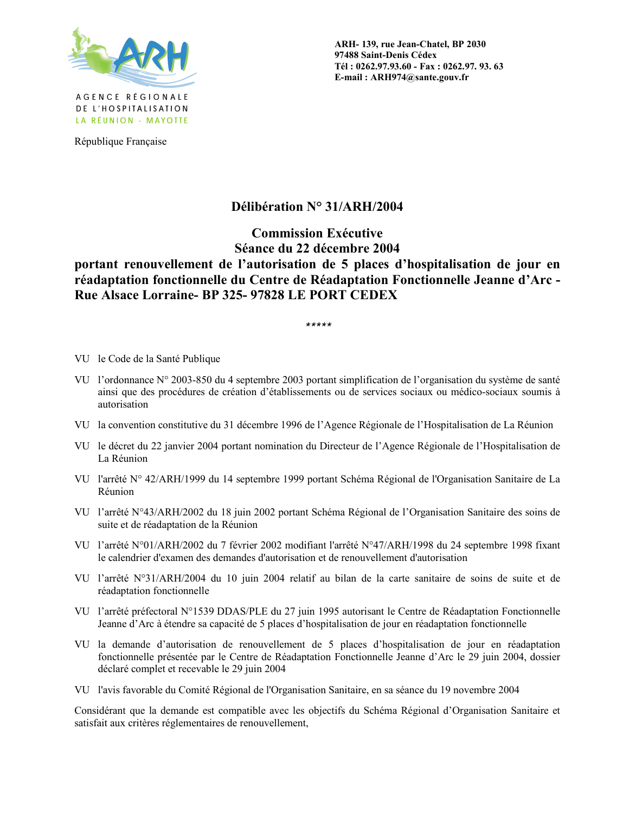

République Française

## Délibération N° 31/ARH/2004

**Commission Exécutive** Séance du 22 décembre 2004

## portant renouvellement de l'autorisation de 5 places d'hospitalisation de jour en réadaptation fonctionnelle du Centre de Réadaptation Fonctionnelle Jeanne d'Arc -Rue Alsace Lorraine- BP 325-97828 LE PORT CEDEX

\*\*\*\*\*

- VU le Code de la Santé Publique
- VU l'ordonnance N° 2003-850 du 4 septembre 2003 portant simplification de l'organisation du système de santé ainsi que des procédures de création d'établissements ou de services sociaux ou médico-sociaux soumis à autorisation
- VU la convention constitutive du 31 décembre 1996 de l'Agence Régionale de l'Hospitalisation de La Réunion
- VU le décret du 22 janvier 2004 portant nomination du Directeur de l'Agence Régionale de l'Hospitalisation de La Réunion
- VU l'arrêté N° 42/ARH/1999 du 14 septembre 1999 portant Schéma Régional de l'Organisation Sanitaire de La Réunion
- VU l'arrêté N°43/ARH/2002 du 18 juin 2002 portant Schéma Régional de l'Organisation Sanitaire des soins de suite et de réadaptation de la Réunion
- VU l'arrêté N°01/ARH/2002 du 7 février 2002 modifiant l'arrêté N°47/ARH/1998 du 24 septembre 1998 fixant le calendrier d'examen des demandes d'autorisation et de renouvellement d'autorisation
- VU l'arrêté N°31/ARH/2004 du 10 juin 2004 relatif au bilan de la carte sanitaire de soins de suite et de réadaptation fonctionnelle
- VU l'arrêté préfectoral N°1539 DDAS/PLE du 27 juin 1995 autorisant le Centre de Réadaptation Fonctionnelle Jeanne d'Arc à étendre sa capacité de 5 places d'hospitalisation de jour en réadaptation fonctionnelle
- VU la demande d'autorisation de renouvellement de 5 places d'hospitalisation de jour en réadaptation fonctionnelle présentée par le Centre de Réadaptation Fonctionnelle Jeanne d'Arc le 29 juin 2004, dossier déclaré complet et recevable le 29 juin 2004
- VU l'avis favorable du Comité Régional de l'Organisation Sanitaire, en sa séance du 19 novembre 2004

Considérant que la demande est compatible avec les objectifs du Schéma Régional d'Organisation Sanitaire et satisfait aux critères réglementaires de renouvellement,